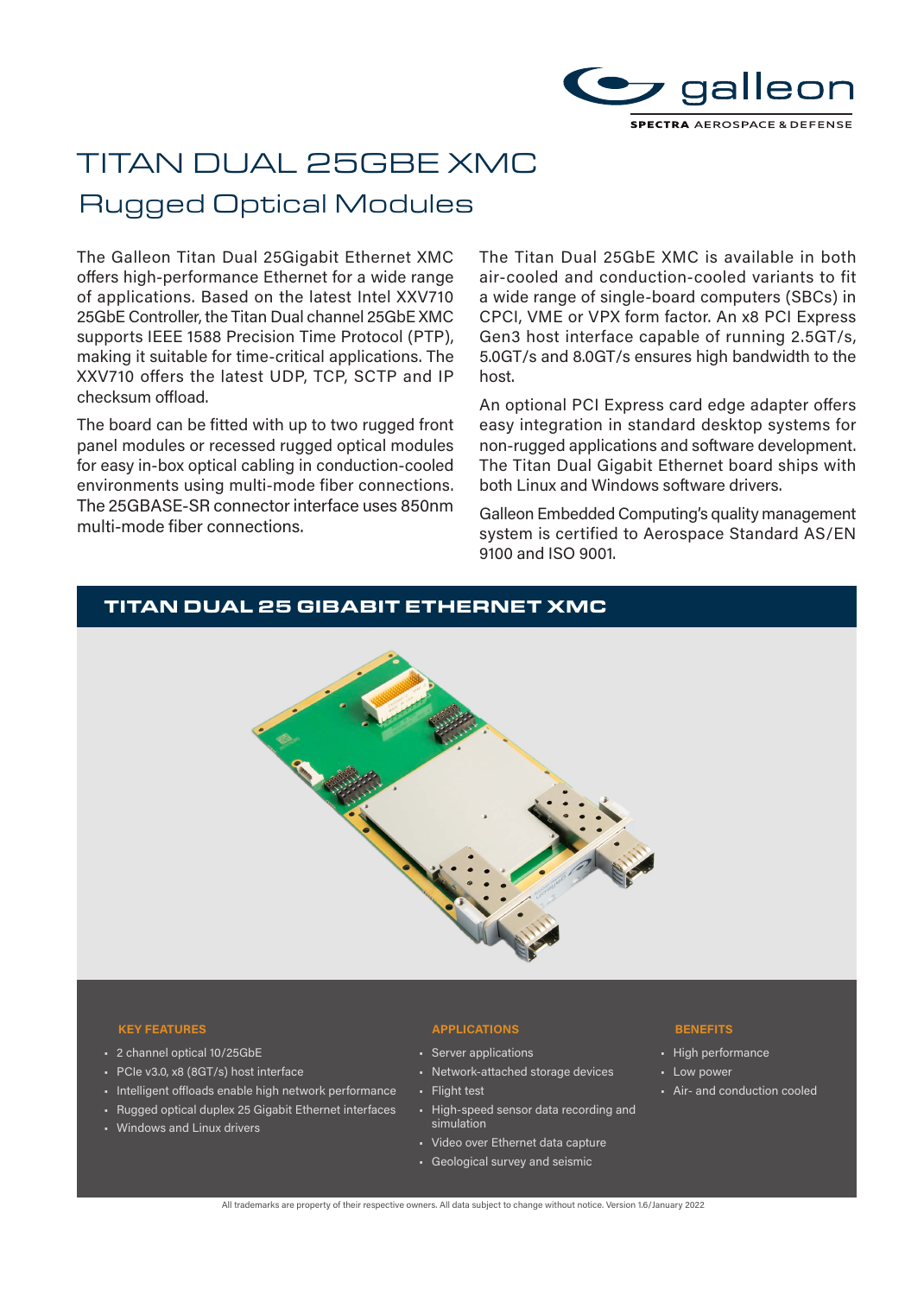

# TITAN DUAL 25GBE XMC

## Rugged Optical Modules

The Galleon Titan Dual 25Gigabit Ethernet XMC offers high-performance Ethernet for a wide range of applications. Based on the latest Intel XXV710 25GbE Controller, the Titan Dual channel 25GbE XMC supports IEEE 1588 Precision Time Protocol (PTP), making it suitable for time-critical applications. The XXV710 offers the latest UDP, TCP, SCTP and IP checksum offload.

The board can be fitted with up to two rugged front panel modules or recessed rugged optical modules for easy in-box optical cabling in conduction-cooled environments using multi-mode fiber connections. The 25GBASE-SR connector interface uses 850nm multi-mode fiber connections.

The Titan Dual 25GbE XMC is available in both air-cooled and conduction-cooled variants to fit a wide range of single-board computers (SBCs) in CPCI, VME or VPX form factor. An x8 PCI Express Gen3 host interface capable of running 2.5GT/s, 5.0GT/s and 8.0GT/s ensures high bandwidth to the host.

An optional PCI Express card edge adapter offers easy integration in standard desktop systems for non-rugged applications and software development. The Titan Dual Gigabit Ethernet board ships with both Linux and Windows software drivers.

Galleon Embedded Computing's quality management system is certified to Aerospace Standard AS/EN 9100 and ISO 9001.

## TITAN DUAL 25 GIBABIT ETHERNET XMC



#### **KEY FEATURES APPLICATIONS BENEFITS**

- 2 channel optical 10/25GbE
- PCIe v3.0, x8 (8GT/s) host interface
- Intelligent offloads enable high network performance
- Rugged optical duplex 25 Gigabit Ethernet interfaces
- Windows and Linux drivers

- Server applications
- Network-attached storage devices
- Flight test
- High-speed sensor data recording and simulation
- Video over Ethernet data capture
- Geological survey and seismic

- High performance
- Low power
- Air- and conduction cooled

All trademarks are property of their respective owners. All data subject to change without notice. Version 1.6/January 2022